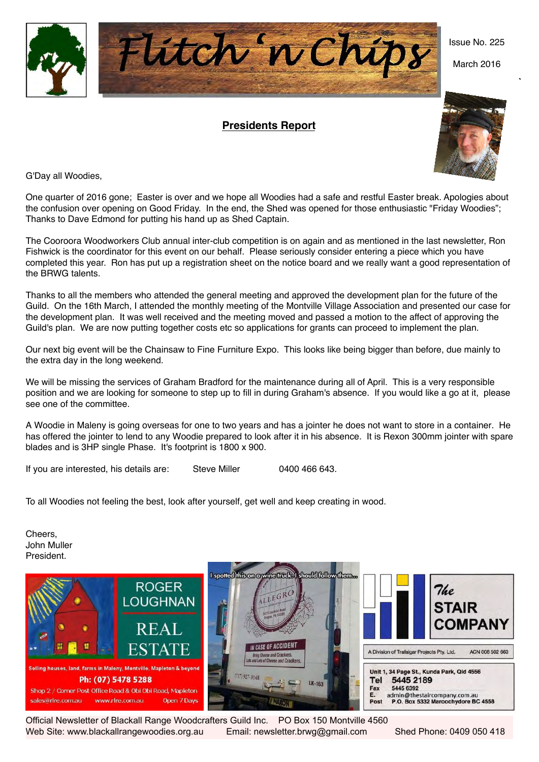

## **Presidents Report**



Issue No. 225

March 2016

G'Day all Woodies,

One quarter of 2016 gone; Easter is over and we hope all Woodies had a safe and restful Easter break. Apologies about the confusion over opening on Good Friday. In the end, the Shed was opened for those enthusiastic "Friday Woodies"; Thanks to Dave Edmond for putting his hand up as Shed Captain.

The Cooroora Woodworkers Club annual inter-club competition is on again and as mentioned in the last newsletter, Ron Fishwick is the coordinator for this event on our behalf. Please seriously consider entering a piece which you have completed this year. Ron has put up a registration sheet on the notice board and we really want a good representation of the BRWG talents.

Thanks to all the members who attended the general meeting and approved the development plan for the future of the Guild. On the 16th March, I attended the monthly meeting of the Montville Village Association and presented our case for the development plan. It was well received and the meeting moved and passed a motion to the affect of approving the Guild's plan. We are now putting together costs etc so applications for grants can proceed to implement the plan.

Our next big event will be the Chainsaw to Fine Furniture Expo. This looks like being bigger than before, due mainly to the extra day in the long weekend.

We will be missing the services of Graham Bradford for the maintenance during all of April. This is a very responsible position and we are looking for someone to step up to fill in during Graham's absence. If you would like a go at it, please see one of the committee.

A Woodie in Maleny is going overseas for one to two years and has a jointer he does not want to store in a container. He has offered the jointer to lend to any Woodie prepared to look after it in his absence. It is Rexon 300mm jointer with spare blades and is 3HP single Phase. It's footprint is 1800 x 900.

If you are interested, his details are: Steve Miller 0400 466 643.

To all Woodies not feeling the best, look after yourself, get well and keep creating in wood.

Cheers, John Muller President.



Official Newsletter of Blackall Range Woodcrafters Guild Inc. PO Box 150 Montville 4560 Web Site: www.blackallrangewoodies.org.au Email: newsletter.brwg@gmail.com Shed Phone: 0409 050 418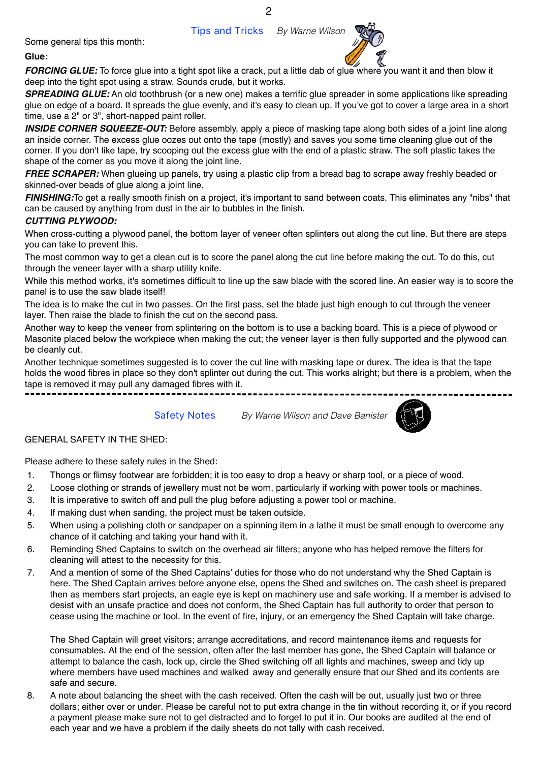Some general tips this month:

#### **Glue:**

**FORCING GLUE:** To force glue into a tight spot like a crack, put a little dab of glue where you want it and then blow it deep into the tight spot using a straw. Sounds crude, but it works.

*SPREADING GLUE:* An old toothbrush (or a new one) makes a terrific glue spreader in some applications like spreading glue on edge of a board. It spreads the glue evenly, and it's easy to clean up. If you've got to cover a large area in a short time, use a 2" or 3", short-napped paint roller.

*INSIDE CORNER SQUEEZE-OUT:* Before assembly, apply a piece of masking tape along both sides of a joint line along an inside corner. The excess glue oozes out onto the tape (mostly) and saves you some time cleaning glue out of the corner. If you don't like tape, try scooping out the excess glue with the end of a plastic straw. The soft plastic takes the shape of the corner as you move it along the joint line.

**FREE SCRAPER:** When glueing up panels, try using a plastic clip from a bread bag to scrape away freshly beaded or skinned-over beads of glue along a joint line.

*FINISHING:*To get a really smooth finish on a project, it's important to sand between coats. This eliminates any "nibs" that can be caused by anything from dust in the air to bubbles in the finish.

#### *CUTTING PLYWOOD:*

When cross-cutting a plywood panel, the bottom layer of veneer often splinters out along the cut line. But there are steps you can take to prevent this.

The most common way to get a clean cut is to score the panel along the cut line before making the cut. To do this, cut through the veneer layer with a sharp utility knife.

While this method works, it's sometimes difficult to line up the saw blade with the scored line. An easier way is to score the panel is to use the saw blade itself!

The idea is to make the cut in two passes. On the first pass, set the blade just high enough to cut through the veneer layer. Then raise the blade to finish the cut on the second pass.

Another way to keep the veneer from splintering on the bottom is to use a backing board. This is a piece of plywood or Masonite placed below the workpiece when making the cut; the veneer layer is then fully supported and the plywood can be cleanly cut.

Another technique sometimes suggested is to cover the cut line with masking tape or durex. The idea is that the tape holds the wood fibres in place so they don't splinter out during the cut. This works alright; but there is a problem, when the tape is removed it may pull any damaged fibres with it.

Safety Notes *By Warne Wilson and Dave Banister*



### GENERAL SAFETY IN THE SHED:

Please adhere to these safety rules in the Shed:

- 1. Thongs or flimsy footwear are forbidden; it is too easy to drop a heavy or sharp tool, or a piece of wood.
- 2. Loose clothing or strands of jewellery must not be worn, particularly if working with power tools or machines.
- 3. It is imperative to switch off and pull the plug before adjusting a power tool or machine.
- 4. If making dust when sanding, the project must be taken outside.
- 5. When using a polishing cloth or sandpaper on a spinning item in a lathe it must be small enough to overcome any chance of it catching and taking your hand with it.
- 6. Reminding Shed Captains to switch on the overhead air filters; anyone who has helped remove the filters for cleaning will attest to the necessity for this.
- 7. And a mention of some of the Shed Captains' duties for those who do not understand why the Shed Captain is here. The Shed Captain arrives before anyone else, opens the Shed and switches on. The cash sheet is prepared then as members start projects, an eagle eye is kept on machinery use and safe working. If a member is advised to desist with an unsafe practice and does not conform, the Shed Captain has full authority to order that person to cease using the machine or tool. In the event of fire, injury, or an emergency the Shed Captain will take charge.

The Shed Captain will greet visitors; arrange accreditations, and record maintenance items and requests for consumables. At the end of the session, often after the last member has gone, the Shed Captain will balance or attempt to balance the cash, lock up, circle the Shed switching off all lights and machines, sweep and tidy up where members have used machines and walked away and generally ensure that our Shed and its contents are safe and secure.

 8. A note about balancing the sheet with the cash received. Often the cash will be out, usually just two or three dollars; either over or under. Please be careful not to put extra change in the tin without recording it, or if you record a payment please make sure not to get distracted and to forget to put it in. Our books are audited at the end of each year and we have a problem if the daily sheets do not tally with cash received.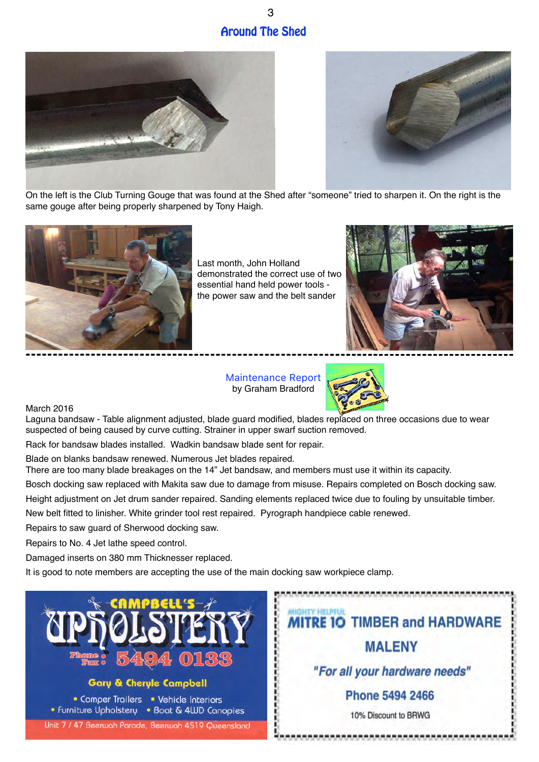# 3 **Around The Shed**





On the left is the Club Turning Gouge that was found at the Shed after "someone" tried to sharpen it. On the right is the same gouge after being properly sharpened by Tony Haigh.



Last month, John Holland demonstrated the correct use of two essential hand held power tools the power saw and the belt sander





March 2016

Laguna bandsaw - Table alignment adjusted, blade guard modified, blades replaced on three occasions due to wear suspected of being caused by curve cutting. Strainer in upper swarf suction removed.

Rack for bandsaw blades installed. Wadkin bandsaw blade sent for repair.

Blade on blanks bandsaw renewed. Numerous Jet blades repaired.

There are too many blade breakages on the 14" Jet bandsaw, and members must use it within its capacity.

Bosch docking saw replaced with Makita saw due to damage from misuse. Repairs completed on Bosch docking saw.

Height adjustment on Jet drum sander repaired. Sanding elements replaced twice due to fouling by unsuitable timber.

New belt fitted to linisher. White grinder tool rest repaired. Pyrograph handpiece cable renewed.

Repairs to saw guard of Sherwood docking saw.

Repairs to No. 4 Jet lathe speed control.

Damaged inserts on 380 mm Thicknesser replaced.

It is good to note members are accepting the use of the main docking saw workpiece clamp.



### **Gary & Cheryle Campbell**

• Camper Trailers • Vehicle Interiors • Furniture Upholstery • Boat & 4WD Canopies

Unit 7 / 47 Beerwah Parade, Beerwah 4519 Queensland

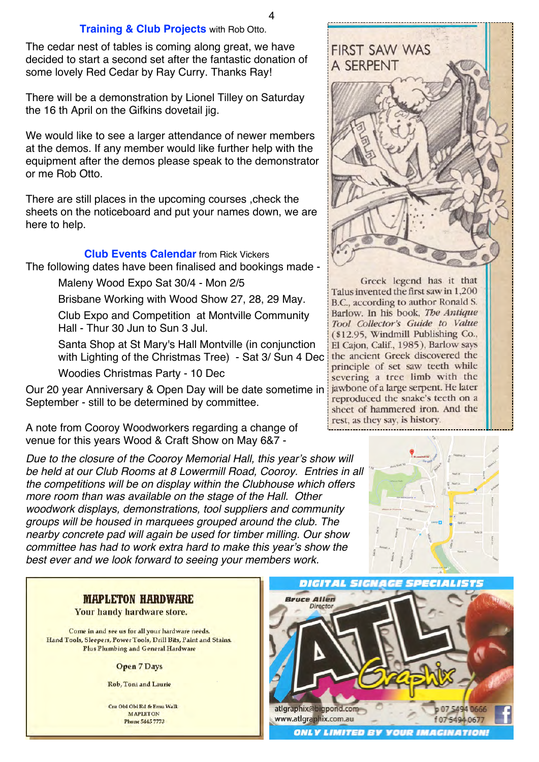#### **Training & Club Projects** with Rob Otto.

The cedar nest of tables is coming along great, we have decided to start a second set after the fantastic donation of some lovely Red Cedar by Ray Curry. Thanks Ray!

There will be a demonstration by Lionel Tilley on Saturday the 16 th April on the Gifkins dovetail jig.

We would like to see a larger attendance of newer members at the demos. If any member would like further help with the equipment after the demos please speak to the demonstrator or me Rob Otto.

There are still places in the upcoming courses ,check the sheets on the noticeboard and put your names down, we are here to help.

# **Club Events Calendar** from Rick Vickers

The following dates have been finalised and bookings made -

Maleny Wood Expo Sat 30/4 - Mon 2/5

Brisbane Working with Wood Show 27, 28, 29 May.

Club Expo and Competition at Montville Community Hall - Thur 30 Jun to Sun 3 Jul.

Santa Shop at St Mary's Hall Montville (in conjunction with Lighting of the Christmas Tree) - Sat 3/ Sun 4 Dec

Woodies Christmas Party - 10 Dec

Our 20 year Anniversary & Open Day will be date sometime in September - still to be determined by committee.

A note from Cooroy Woodworkers regarding a change of venue for this years Wood & Craft Show on May 6&7 -

*Due to the closure of the Cooroy Memorial Hall, this year's show will be held at our Club Rooms at 8 Lowermill Road, Cooroy. Entries in all the competitions will be on display within the Clubhouse which offers more room than was available on the stage of the Hall. Other woodwork displays, demonstrations, tool suppliers and community groups will be housed in marquees grouped around the club. The nearby concrete pad will again be used for timber milling. Our show committee has had to work extra hard to make this year's show the best ever and we look forward to seeing your members work.*



Greek legend has it that Talus invented the first saw in 1,200 B.C., according to author Ronald S. Barlow. In his book. The Antique Tool Collector's Guide to Value (\$12.95, Windmill Publishing Co., El Cajon, Calif., 1985), Barlow says the ancient Greek discovered the principle of set saw teeth while severing a tree limb with the jawbone of a large serpent. He later reproduced the snake's teeth on a sheet of hammered iron. And the rest, as they say, is history.



## **MAPLETON HARDWARE**

Your handy hardware store.

Come in and see us for all your hardware needs. Hand Tools, Sleepers, Power Tools, Drill Bits, Paint and Stains. Plus Plumbing and General Hardware

**Open 7 Days** 

**Rob. Toni and Laurie** 

Cnr Obi Obi Rd & Emu Walk **MAPLETON Phone 5445 7773** 



**ONLY LIMITED BY YOUR IMAGINATION!**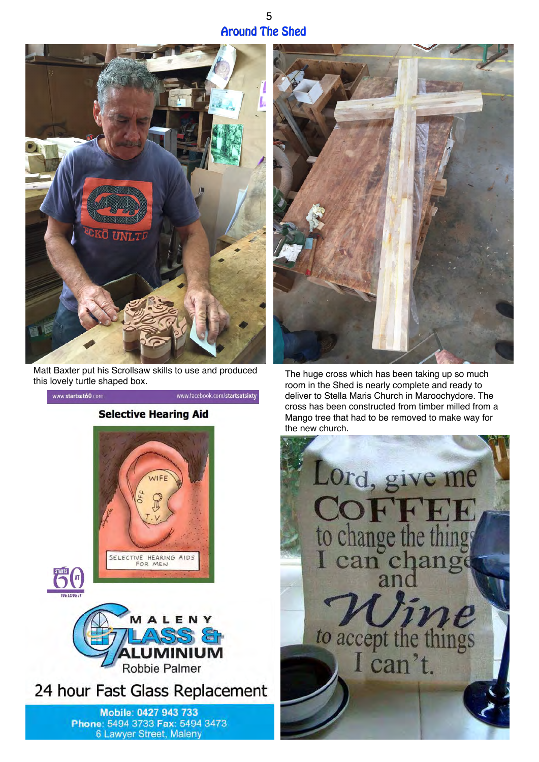# 5 **Around The Shed**



Matt Baxter put his Scrollsaw skills to use and produced Matt Baxter put his Scrollsaw skills to use and produced<br>this lovely turtle shaped box.<br>From in the Shed is nearly complete and ready to

www.startsat60.com

**Selective Hearing Aid** 

www.facebook.com/startsatsixty



Mobile: 0427 943 733 Phone: 5494 3733 Fax: 5494 3473 **6 Lawyer Street, Maleny** 



room in the Shed is nearly complete and ready to deliver to Stella Maris Church in Maroochydore. The cross has been constructed from timber milled from a Mango tree that had to be removed to make way for the new church.